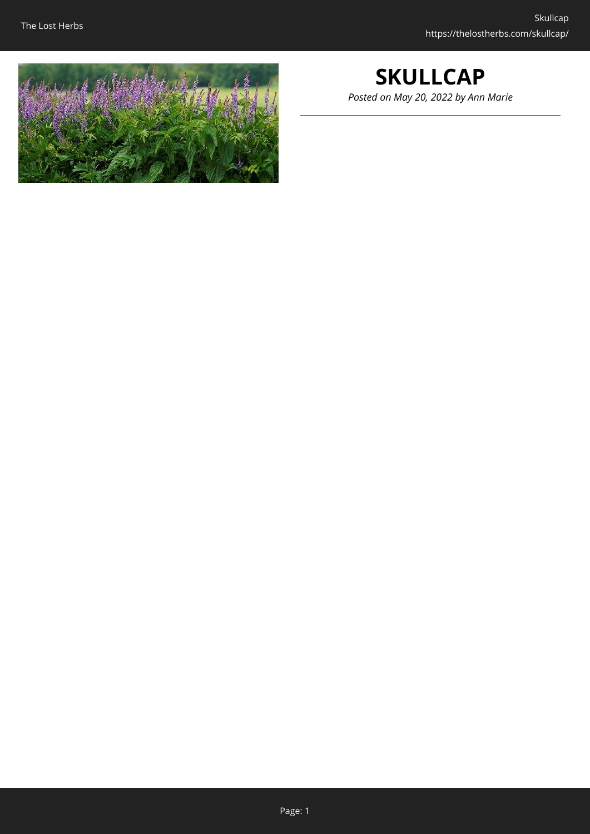

## **SKULLCAP** *Posted on May 20, 2022 by Ann Marie*

Page: 1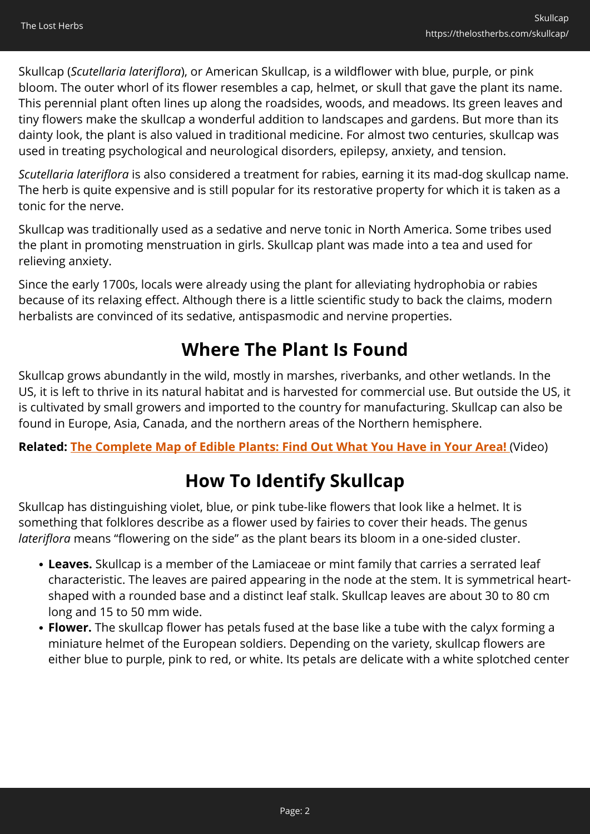Skullcap (*Scutellaria lateriflora*), or American Skullcap, is a wildflower with blue, purple, or pink bloom. The outer whorl of its flower resembles a cap, helmet, or skull that gave the plant its name. This perennial plant often lines up along the roadsides, woods, and meadows. Its green leaves and tiny flowers make the skullcap a wonderful addition to landscapes and gardens. But more than its dainty look, the plant is also valued in traditional medicine. For almost two centuries, skullcap was used in treating psychological and neurological disorders, epilepsy, anxiety, and tension.

*Scutellaria lateriflora* is also considered a treatment for rabies, earning it its mad-dog skullcap name. The herb is quite expensive and is still popular for its restorative property for which it is taken as a tonic for the nerve.

Skullcap was traditionally used as a sedative and nerve tonic in North America. Some tribes used the plant in promoting menstruation in girls. Skullcap plant was made into a tea and used for relieving anxiety.

Since the early 1700s, locals were already using the plant for alleviating hydrophobia or rabies because of its relaxing effect. Although there is a little scientific study to back the claims, modern herbalists are convinced of its sedative, antispasmodic and nervine properties.

# **Where The Plant Is Found**

Skullcap grows abundantly in the wild, mostly in marshes, riverbanks, and other wetlands. In the US, it is left to thrive in its natural habitat and is harvested for commercial use. But outside the US, it is cultivated by small growers and imported to the country for manufacturing. Skullcap can also be found in Europe, Asia, Canada, and the northern areas of the Northern hemisphere.

**Related: [The Complete Map of Edible Plants: Find Out What You Have in Your Area!](https://hop.clickbank.net/?affiliate=easycellar&vendor=wfguide&tid=C02SkullcapFGW1)** (Video)

# **How To Identify Skullcap**

Skullcap has distinguishing violet, blue, or pink tube-like flowers that look like a helmet. It is something that folklores describe as a flower used by fairies to cover their heads. The genus *lateriflora* means "flowering on the side" as the plant bears its bloom in a one-sided cluster.

- **Leaves.** Skullcap is a member of the Lamiaceae or mint family that carries a serrated leaf characteristic. The leaves are paired appearing in the node at the stem. It is symmetrical heartshaped with a rounded base and a distinct leaf stalk. Skullcap leaves are about 30 to 80 cm long and 15 to 50 mm wide.
- **Flower.** The skullcap flower has petals fused at the base like a tube with the calyx forming a miniature helmet of the European soldiers. Depending on the variety, skullcap flowers are either blue to purple, pink to red, or white. Its petals are delicate with a white splotched center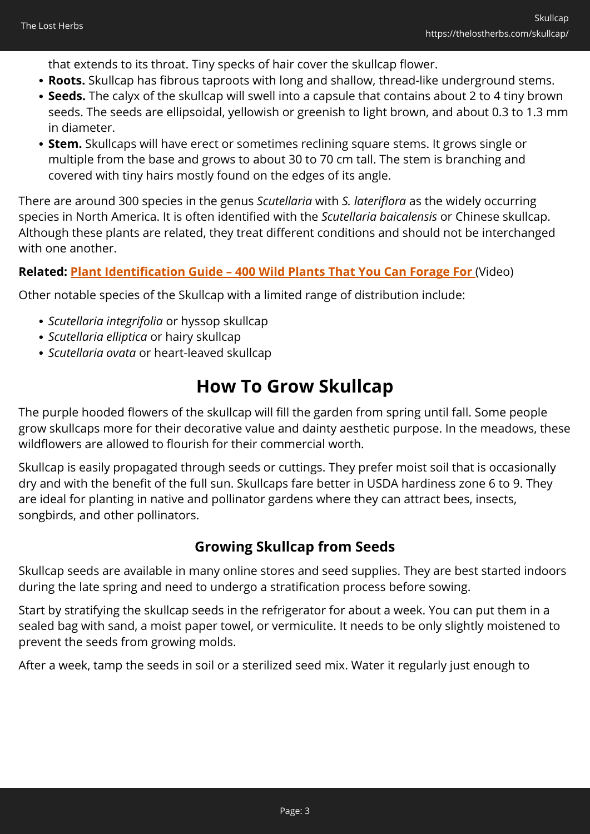that extends to its throat. Tiny specks of hair cover the skullcap flower.

- **Roots.** Skullcap has fibrous taproots with long and shallow, thread-like underground stems.
- **Seeds.** The calyx of the skullcap will swell into a capsule that contains about 2 to 4 tiny brown seeds. The seeds are ellipsoidal, yellowish or greenish to light brown, and about 0.3 to 1.3 mm in diameter.
- **Stem.** Skullcaps will have erect or sometimes reclining square stems. It grows single or multiple from the base and grows to about 30 to 70 cm tall. The stem is branching and covered with tiny hairs mostly found on the edges of its angle.

There are around 300 species in the genus *Scutellaria* with *S. lateriflora* as the widely occurring species in North America. It is often identified with the *Scutellaria baicalensis* or Chinese skullcap. Although these plants are related, they treat different conditions and should not be interchanged with one another.

#### **Related: [Plant Identification Guide – 400 Wild Plants That You Can Forage For](https://hop.clickbank.net/?affiliate=easycellar&vendor=wfguide&tid=C02SkullcapFGW2)** (Video)

Other notable species of the Skullcap with a limited range of distribution include:

- *Scutellaria integrifolia* or hyssop skullcap
- *Scutellaria elliptica* or hairy skullcap
- *Scutellaria ovata* or heart-leaved skullcap

## **How To Grow Skullcap**

The purple hooded flowers of the skullcap will fill the garden from spring until fall. Some people grow skullcaps more for their decorative value and dainty aesthetic purpose. In the meadows, these wildflowers are allowed to flourish for their commercial worth.

Skullcap is easily propagated through seeds or cuttings. They prefer moist soil that is occasionally dry and with the benefit of the full sun. Skullcaps fare better in USDA hardiness zone 6 to 9. They are ideal for planting in native and pollinator gardens where they can attract bees, insects, songbirds, and other pollinators.

### **Growing Skullcap from Seeds**

Skullcap seeds are available in many online stores and seed supplies. They are best started indoors during the late spring and need to undergo a stratification process before sowing.

Start by stratifying the skullcap seeds in the refrigerator for about a week. You can put them in a sealed bag with sand, a moist paper towel, or vermiculite. It needs to be only slightly moistened to prevent the seeds from growing molds.

After a week, tamp the seeds in soil or a sterilized seed mix. Water it regularly just enough to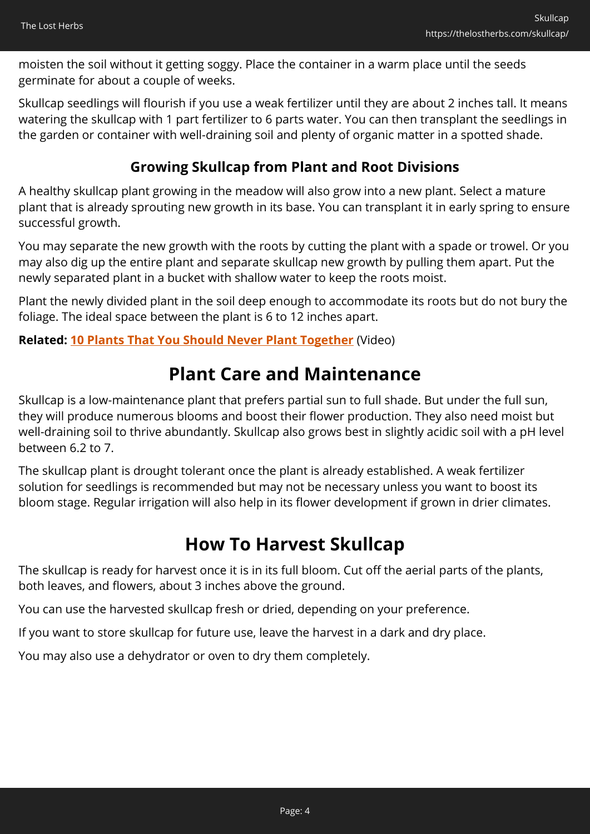moisten the soil without it getting soggy. Place the container in a warm place until the seeds germinate for about a couple of weeks.

Skullcap seedlings will flourish if you use a weak fertilizer until they are about 2 inches tall. It means watering the skullcap with 1 part fertilizer to 6 parts water. You can then transplant the seedlings in the garden or container with well-draining soil and plenty of organic matter in a spotted shade.

### **Growing Skullcap from Plant and Root Divisions**

A healthy skullcap plant growing in the meadow will also grow into a new plant. Select a mature plant that is already sprouting new growth in its base. You can transplant it in early spring to ensure successful growth.

You may separate the new growth with the roots by cutting the plant with a spade or trowel. Or you may also dig up the entire plant and separate skullcap new growth by pulling them apart. Put the newly separated plant in a bucket with shallow water to keep the roots moist.

Plant the newly divided plant in the soil deep enough to accommodate its roots but do not bury the foliage. The ideal space between the plant is 6 to 12 inches apart.

#### **Related: [10 Plants That You Should Never Plant Together](https://hop.clickbank.net/?affiliate=easycellar&vendor=sbackyard&tid=C02SkullcapSSB)** (Video)

## **Plant Care and Maintenance**

Skullcap is a low-maintenance plant that prefers partial sun to full shade. But under the full sun, they will produce numerous blooms and boost their flower production. They also need moist but well-draining soil to thrive abundantly. Skullcap also grows best in slightly acidic soil with a pH level between 6.2 to 7.

The skullcap plant is drought tolerant once the plant is already established. A weak fertilizer solution for seedlings is recommended but may not be necessary unless you want to boost its bloom stage. Regular irrigation will also help in its flower development if grown in drier climates.

## **How To Harvest Skullcap**

The skullcap is ready for harvest once it is in its full bloom. Cut off the aerial parts of the plants, both leaves, and flowers, about 3 inches above the ground.

You can use the harvested skullcap fresh or dried, depending on your preference.

If you want to store skullcap for future use, leave the harvest in a dark and dry place.

You may also use a dehydrator or oven to dry them completely.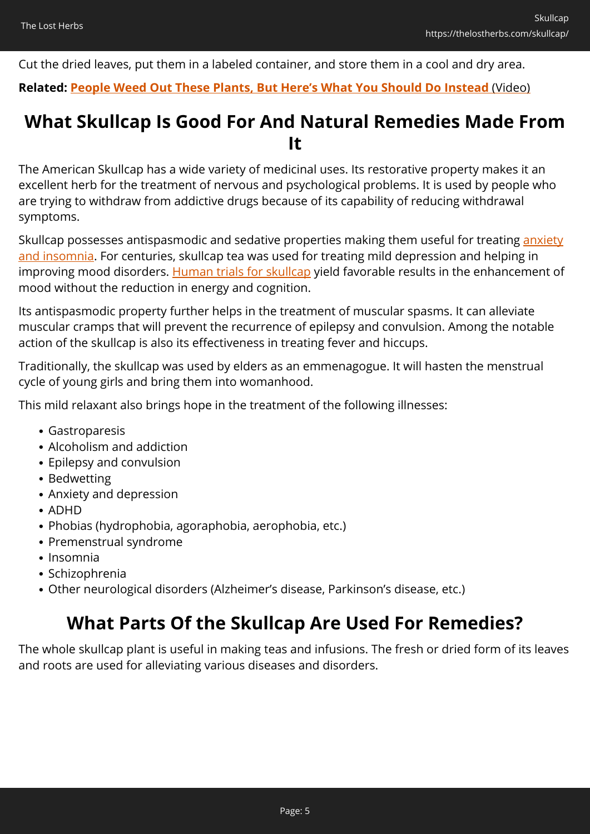Cut the dried leaves, put them in a labeled container, and store them in a cool and dry area.

#### **Related: [People Weed Out These Plants, But Here's What You Should Do Instead](https://hop.clickbank.net/?affiliate=easycellar&vendor=wfguide&tid=C02SkullcapFGW2)** [\(Video\)](https://hop.clickbank.net/?affiliate=easycellar&vendor=wfguide&tid=C02SkullcapFGW2)

## **What Skullcap Is Good For And Natural Remedies Made From It**

The American Skullcap has a wide variety of medicinal uses. Its restorative property makes it an excellent herb for the treatment of nervous and psychological problems. It is used by people who are trying to withdraw from addictive drugs because of its capability of reducing withdrawal symptoms.

Skullcap possesses antispasmodic and sedative properties making them useful for treating [anxiety](https://nicolesapothecary.com/products/sleep-blend-support?rfsn=5642246.05c3d29&utm_source=refersion&utm_medium=affiliate&utm_campaign=5642246.05c3d29&subid=C02Skullcap) [and insomnia.](https://nicolesapothecary.com/products/sleep-blend-support?rfsn=5642246.05c3d29&utm_source=refersion&utm_medium=affiliate&utm_campaign=5642246.05c3d29&subid=C02Skullcap) For centuries, skullcap tea was used for treating mild depression and helping in improving mood disorders. [Human trials for skullcap](https://pubmed.ncbi.nlm.nih.gov/23878109/) yield favorable results in the enhancement of mood without the reduction in energy and cognition.

Its antispasmodic property further helps in the treatment of muscular spasms. It can alleviate muscular cramps that will prevent the recurrence of epilepsy and convulsion. Among the notable action of the skullcap is also its effectiveness in treating fever and hiccups.

Traditionally, the skullcap was used by elders as an emmenagogue. It will hasten the menstrual cycle of young girls and bring them into womanhood.

This mild relaxant also brings hope in the treatment of the following illnesses:

- Gastroparesis
- Alcoholism and addiction
- Epilepsy and convulsion
- Bedwetting
- Anxiety and depression
- ADHD
- Phobias (hydrophobia, agoraphobia, aerophobia, etc.)
- Premenstrual syndrome
- Insomnia
- Schizophrenia
- Other neurological disorders (Alzheimer's disease, Parkinson's disease, etc.)

# **What Parts Of the Skullcap Are Used For Remedies?**

The whole skullcap plant is useful in making teas and infusions. The fresh or dried form of its leaves and roots are used for alleviating various diseases and disorders.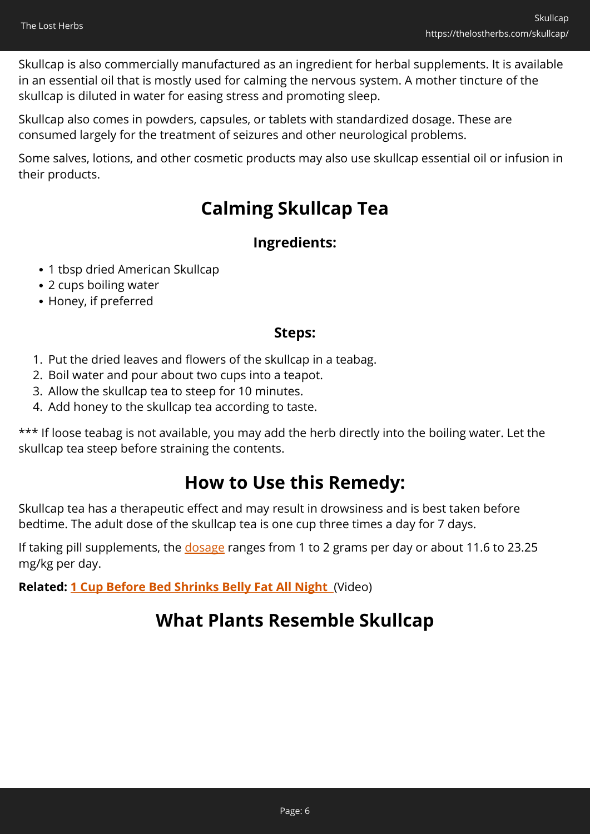Skullcap is also commercially manufactured as an ingredient for herbal supplements. It is available in an essential oil that is mostly used for calming the nervous system. A mother tincture of the skullcap is diluted in water for easing stress and promoting sleep.

Skullcap also comes in powders, capsules, or tablets with standardized dosage. These are consumed largely for the treatment of seizures and other neurological problems.

Some salves, lotions, and other cosmetic products may also use skullcap essential oil or infusion in their products.

## **Calming Skullcap Tea**

### **Ingredients:**

- 1 tbsp dried American Skullcap
- 2 cups boiling water
- Honey, if preferred

### **Steps:**

- 1. Put the dried leaves and flowers of the skullcap in a teabag.
- 2. Boil water and pour about two cups into a teapot.
- 3. Allow the skullcap tea to steep for 10 minutes.
- 4. Add honey to the skullcap tea according to taste.

\*\*\* If loose teabag is not available, you may add the herb directly into the boiling water. Let the skullcap tea steep before straining the contents.

## **How to Use this Remedy:**

Skullcap tea has a therapeutic effect and may result in drowsiness and is best taken before bedtime. The adult dose of the skullcap tea is one cup three times a day for 7 days.

If taking pill supplements, the [dosage](https://www.sciencedirect.com/topics/agricultural-and-biological-sciences/scutellaria-lateriflora) ranges from 1 to 2 grams per day or about 11.6 to 23.25 mg/kg per day.

**Related: [1 Cup Before Bed Shrinks Belly Fat All Night](https://hop.clickbank.net/?affiliate=easycellar&vendor=alphasupps&tid=C02SkullcapORG)** (Video)

## **What Plants Resemble Skullcap**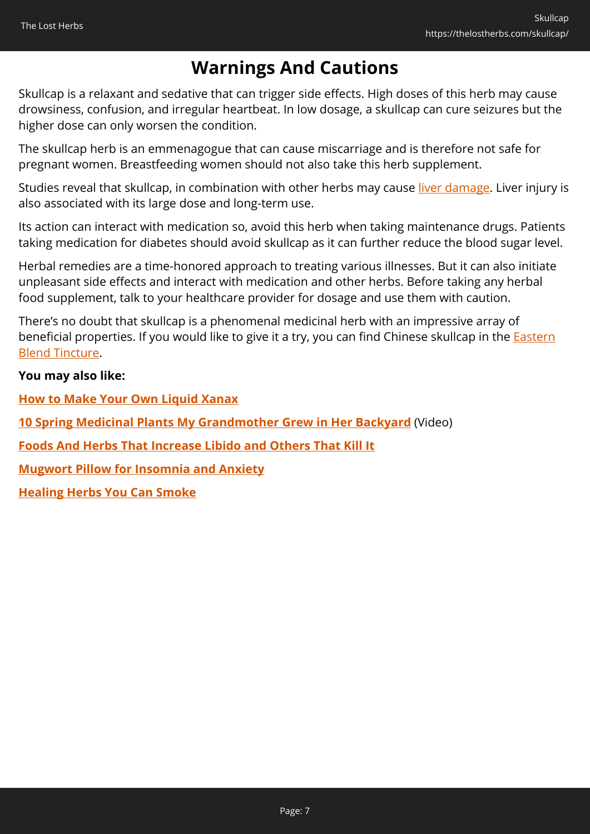# **Warnings And Cautions**

Skullcap is a relaxant and sedative that can trigger side effects. High doses of this herb may cause drowsiness, confusion, and irregular heartbeat. In low dosage, a skullcap can cure seizures but the higher dose can only worsen the condition.

The skullcap herb is an emmenagogue that can cause miscarriage and is therefore not safe for pregnant women. Breastfeeding women should not also take this herb supplement.

Studies reveal that skullcap, in combination with other herbs may cause [liver damage](https://www.ncbi.nlm.nih.gov/books/NBK548757/). Liver injury is also associated with its large dose and long-term use.

Its action can interact with medication so, avoid this herb when taking maintenance drugs. Patients taking medication for diabetes should avoid skullcap as it can further reduce the blood sugar level.

Herbal remedies are a time-honored approach to treating various illnesses. But it can also initiate unpleasant side effects and interact with medication and other herbs. Before taking any herbal food supplement, talk to your healthcare provider for dosage and use them with caution.

There's no doubt that skullcap is a phenomenal medicinal herb with an impressive array of beneficial properties. If you would like to give it a try, you can find Chinese skullcap in the **Eastern** [Blend Tincture](https://nicolesapothecary.com/collections/all/products/eastern-blend-defense-tincture?rfsn=5642246.05c3d29&utm_source=refersion&utm_medium=affiliate&utm_campaign=5642246.05c3d29&subid=C02Skullcap).

#### **You may also like:**

**[How to Make Your Own Liquid Xanax](https://thelostherbs.com/how-to-make-your-own-liquid-xanax/)**

**[10 Spring Medicinal Plants My Grandmother Grew in Her Backyard](https://hop.clickbank.net/?affiliate=easycellar&vendor=bookofren&tid=C02SkullcapMK)** (Video)

**[Foods And Herbs That Increase Libido and Others That Kill It](https://thelostherbs.com/foods-and-herbs-that-increase-libido-and-others-that-kill-it/)**

**[Mugwort Pillow for Insomnia and Anxiety](https://thelostherbs.com/mugwort-pillow-for-insomnia-and-anxiety/)**

**[Healing Herbs You Can Smoke](https://thelostherbs.com/healing-herbs-you-can-smoke/)**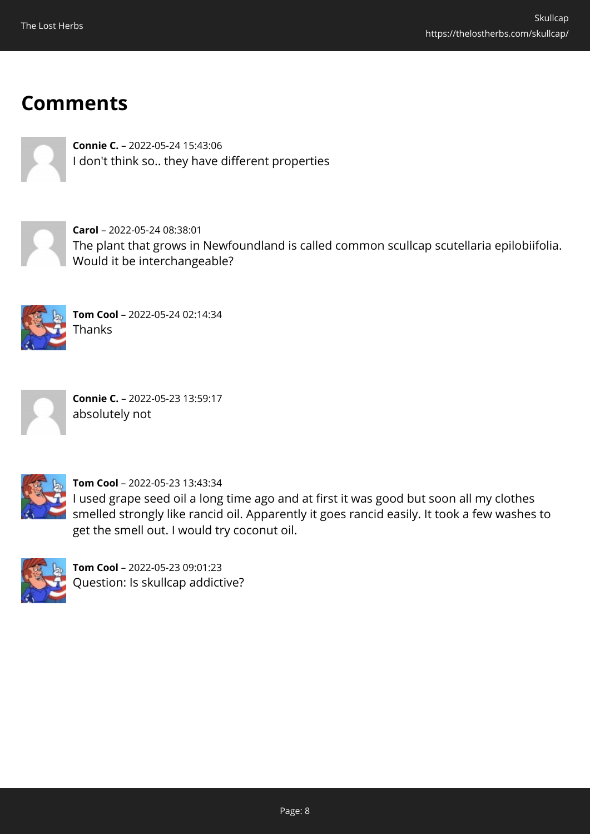# **Comments**



**Connie C.** – 2022-05-24 15:43:06 I don't think so.. they have different properties



**Carol** – 2022-05-24 08:38:01 The plant that grows in Newfoundland is called common scullcap scutellaria epilobiifolia. Would it be interchangeable?



**Tom Cool** – 2022-05-24 02:14:34 Thanks



**Connie C.** – 2022-05-23 13:59:17 absolutely not



**Tom Cool** – 2022-05-23 13:43:34

I used grape seed oil a long time ago and at first it was good but soon all my clothes smelled strongly like rancid oil. Apparently it goes rancid easily. It took a few washes to get the smell out. I would try coconut oil.



**Tom Cool** – 2022-05-23 09:01:23 Question: Is skullcap addictive?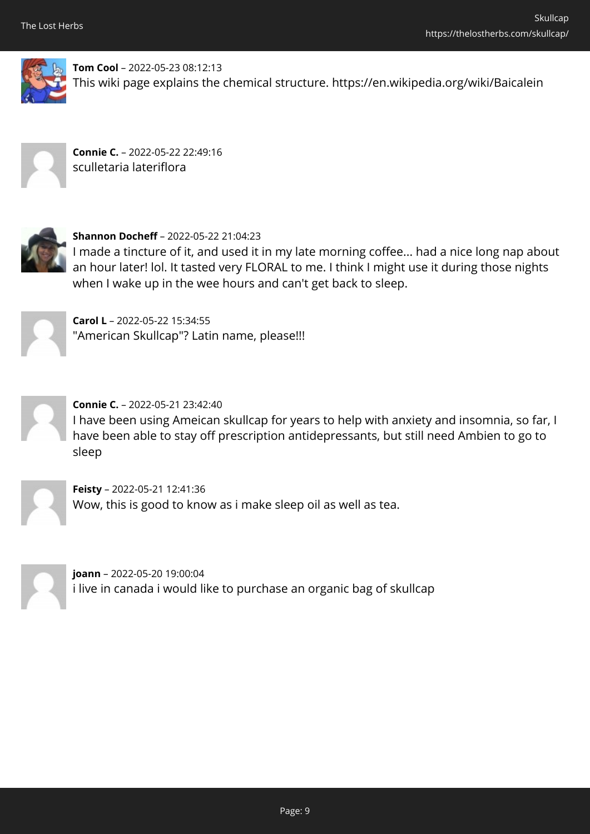

**Tom Cool** – 2022-05-23 08:12:13 This wiki page explains the chemical structure. https://en.wikipedia.org/wiki/Baicalein



**Connie C.** – 2022-05-22 22:49:16 sculletaria lateriflora



**Shannon Docheff** – 2022-05-22 21:04:23

I made a tincture of it, and used it in my late morning coffee... had a nice long nap about an hour later! lol. It tasted very FLORAL to me. I think I might use it during those nights when I wake up in the wee hours and can't get back to sleep.

**Carol L** – 2022-05-22 15:34:55 "American Skullcap"? Latin name, please!!!



**Connie C.** – 2022-05-21 23:42:40 I have been using Ameican skullcap for years to help with anxiety and insomnia, so far, I have been able to stay off prescription antidepressants, but still need Ambien to go to sleep



**Feisty** – 2022-05-21 12:41:36 Wow, this is good to know as i make sleep oil as well as tea.



**joann** – 2022-05-20 19:00:04 i live in canada i would like to purchase an organic bag of skullcap